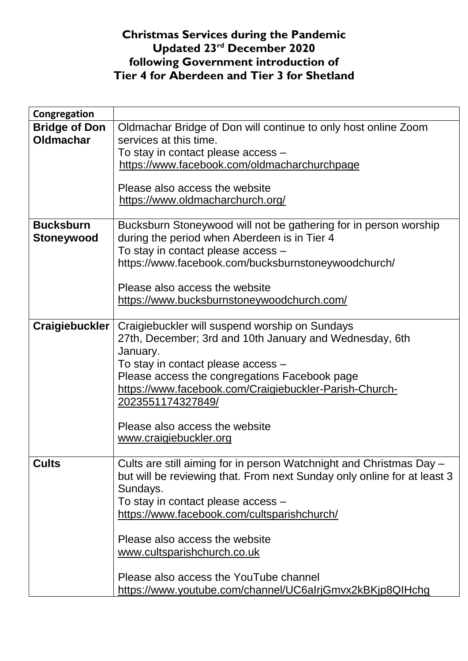| Congregation                             |                                                                                                                                                                                                                                                                                                                                                                                                                        |
|------------------------------------------|------------------------------------------------------------------------------------------------------------------------------------------------------------------------------------------------------------------------------------------------------------------------------------------------------------------------------------------------------------------------------------------------------------------------|
| <b>Bridge of Don</b><br><b>Oldmachar</b> | Oldmachar Bridge of Don will continue to only host online Zoom<br>services at this time.<br>To stay in contact please access -<br>https://www.facebook.com/oldmacharchurchpage<br>Please also access the website                                                                                                                                                                                                       |
|                                          | https://www.oldmacharchurch.org/                                                                                                                                                                                                                                                                                                                                                                                       |
| <b>Bucksburn</b><br>Stoneywood           | Bucksburn Stoneywood will not be gathering for in person worship<br>during the period when Aberdeen is in Tier 4<br>To stay in contact please access -<br>https://www.facebook.com/bucksburnstoneywoodchurch/<br>Please also access the website<br>https://www.bucksburnstoneywoodchurch.com/                                                                                                                          |
| Craigiebuckler                           | Craigiebuckler will suspend worship on Sundays<br>27th, December; 3rd and 10th January and Wednesday, 6th<br>January.<br>To stay in contact please access -<br>Please access the congregations Facebook page<br>https://www.facebook.com/Craigiebuckler-Parish-Church-<br>2023551174327849/<br>Please also access the website<br>www.craigiebuckler.org                                                                |
| <b>Cults</b>                             | Cults are still aiming for in person Watchnight and Christmas Day -<br>but will be reviewing that. From next Sunday only online for at least 3<br>Sundays.<br>To stay in contact please access -<br>https://www.facebook.com/cultsparishchurch/<br>Please also access the website<br>www.cultsparishchurch.co.uk<br>Please also access the YouTube channel<br>https://www.youtube.com/channel/UC6alrjGmvx2kBKjp8QlHchg |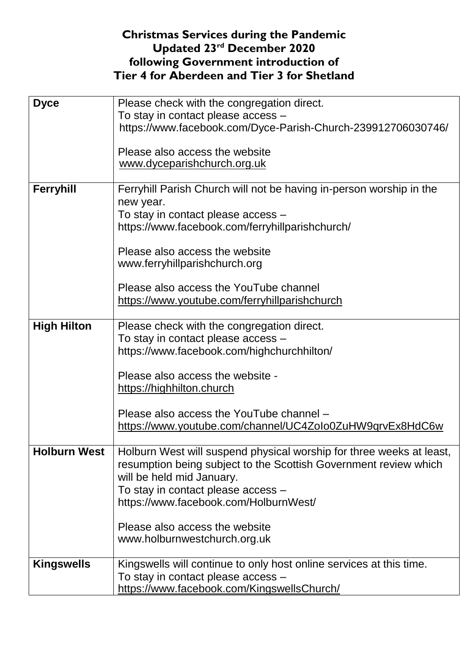| To stay in contact please access -<br>https://www.facebook.com/Dyce-Parish-Church-239912706030746/<br>Please also access the website<br>www.dyceparishchurch.org.uk<br>Ferryhill<br>Ferryhill Parish Church will not be having in-person worship in the<br>new year.<br>To stay in contact please access -<br>https://www.facebook.com/ferryhillparishchurch/<br>Please also access the website<br>www.ferryhillparishchurch.org<br>Please also access the YouTube channel<br>https://www.youtube.com/ferryhillparishchurch<br><b>High Hilton</b><br>Please check with the congregation direct.<br>To stay in contact please access -<br>https://www.facebook.com/highchurchhilton/<br>Please also access the website -<br>https://highhilton.church<br>Please also access the YouTube channel -<br>https://www.youtube.com/channel/UC4Zolo0ZuHW9qrvEx8HdC6w<br>Holburn West will suspend physical worship for three weeks at least,<br><b>Holburn West</b><br>resumption being subject to the Scottish Government review which<br>will be held mid January.<br>To stay in contact please access -<br>https://www.facebook.com/HolburnWest/<br>Please also access the website<br>www.holburnwestchurch.org.uk | <b>Dyce</b> | Please check with the congregation direct. |
|---------------------------------------------------------------------------------------------------------------------------------------------------------------------------------------------------------------------------------------------------------------------------------------------------------------------------------------------------------------------------------------------------------------------------------------------------------------------------------------------------------------------------------------------------------------------------------------------------------------------------------------------------------------------------------------------------------------------------------------------------------------------------------------------------------------------------------------------------------------------------------------------------------------------------------------------------------------------------------------------------------------------------------------------------------------------------------------------------------------------------------------------------------------------------------------------------------------|-------------|--------------------------------------------|
|                                                                                                                                                                                                                                                                                                                                                                                                                                                                                                                                                                                                                                                                                                                                                                                                                                                                                                                                                                                                                                                                                                                                                                                                               |             |                                            |
|                                                                                                                                                                                                                                                                                                                                                                                                                                                                                                                                                                                                                                                                                                                                                                                                                                                                                                                                                                                                                                                                                                                                                                                                               |             |                                            |
|                                                                                                                                                                                                                                                                                                                                                                                                                                                                                                                                                                                                                                                                                                                                                                                                                                                                                                                                                                                                                                                                                                                                                                                                               |             |                                            |
|                                                                                                                                                                                                                                                                                                                                                                                                                                                                                                                                                                                                                                                                                                                                                                                                                                                                                                                                                                                                                                                                                                                                                                                                               |             |                                            |
|                                                                                                                                                                                                                                                                                                                                                                                                                                                                                                                                                                                                                                                                                                                                                                                                                                                                                                                                                                                                                                                                                                                                                                                                               |             |                                            |
|                                                                                                                                                                                                                                                                                                                                                                                                                                                                                                                                                                                                                                                                                                                                                                                                                                                                                                                                                                                                                                                                                                                                                                                                               |             |                                            |
|                                                                                                                                                                                                                                                                                                                                                                                                                                                                                                                                                                                                                                                                                                                                                                                                                                                                                                                                                                                                                                                                                                                                                                                                               |             |                                            |
|                                                                                                                                                                                                                                                                                                                                                                                                                                                                                                                                                                                                                                                                                                                                                                                                                                                                                                                                                                                                                                                                                                                                                                                                               |             |                                            |
|                                                                                                                                                                                                                                                                                                                                                                                                                                                                                                                                                                                                                                                                                                                                                                                                                                                                                                                                                                                                                                                                                                                                                                                                               |             |                                            |
|                                                                                                                                                                                                                                                                                                                                                                                                                                                                                                                                                                                                                                                                                                                                                                                                                                                                                                                                                                                                                                                                                                                                                                                                               |             |                                            |
|                                                                                                                                                                                                                                                                                                                                                                                                                                                                                                                                                                                                                                                                                                                                                                                                                                                                                                                                                                                                                                                                                                                                                                                                               |             |                                            |
|                                                                                                                                                                                                                                                                                                                                                                                                                                                                                                                                                                                                                                                                                                                                                                                                                                                                                                                                                                                                                                                                                                                                                                                                               |             |                                            |
|                                                                                                                                                                                                                                                                                                                                                                                                                                                                                                                                                                                                                                                                                                                                                                                                                                                                                                                                                                                                                                                                                                                                                                                                               |             |                                            |
|                                                                                                                                                                                                                                                                                                                                                                                                                                                                                                                                                                                                                                                                                                                                                                                                                                                                                                                                                                                                                                                                                                                                                                                                               |             |                                            |
|                                                                                                                                                                                                                                                                                                                                                                                                                                                                                                                                                                                                                                                                                                                                                                                                                                                                                                                                                                                                                                                                                                                                                                                                               |             |                                            |
|                                                                                                                                                                                                                                                                                                                                                                                                                                                                                                                                                                                                                                                                                                                                                                                                                                                                                                                                                                                                                                                                                                                                                                                                               |             |                                            |
|                                                                                                                                                                                                                                                                                                                                                                                                                                                                                                                                                                                                                                                                                                                                                                                                                                                                                                                                                                                                                                                                                                                                                                                                               |             |                                            |
|                                                                                                                                                                                                                                                                                                                                                                                                                                                                                                                                                                                                                                                                                                                                                                                                                                                                                                                                                                                                                                                                                                                                                                                                               |             |                                            |
|                                                                                                                                                                                                                                                                                                                                                                                                                                                                                                                                                                                                                                                                                                                                                                                                                                                                                                                                                                                                                                                                                                                                                                                                               |             |                                            |
|                                                                                                                                                                                                                                                                                                                                                                                                                                                                                                                                                                                                                                                                                                                                                                                                                                                                                                                                                                                                                                                                                                                                                                                                               |             |                                            |
|                                                                                                                                                                                                                                                                                                                                                                                                                                                                                                                                                                                                                                                                                                                                                                                                                                                                                                                                                                                                                                                                                                                                                                                                               |             |                                            |
|                                                                                                                                                                                                                                                                                                                                                                                                                                                                                                                                                                                                                                                                                                                                                                                                                                                                                                                                                                                                                                                                                                                                                                                                               |             |                                            |
|                                                                                                                                                                                                                                                                                                                                                                                                                                                                                                                                                                                                                                                                                                                                                                                                                                                                                                                                                                                                                                                                                                                                                                                                               |             |                                            |
|                                                                                                                                                                                                                                                                                                                                                                                                                                                                                                                                                                                                                                                                                                                                                                                                                                                                                                                                                                                                                                                                                                                                                                                                               |             |                                            |
|                                                                                                                                                                                                                                                                                                                                                                                                                                                                                                                                                                                                                                                                                                                                                                                                                                                                                                                                                                                                                                                                                                                                                                                                               |             |                                            |
|                                                                                                                                                                                                                                                                                                                                                                                                                                                                                                                                                                                                                                                                                                                                                                                                                                                                                                                                                                                                                                                                                                                                                                                                               |             |                                            |
|                                                                                                                                                                                                                                                                                                                                                                                                                                                                                                                                                                                                                                                                                                                                                                                                                                                                                                                                                                                                                                                                                                                                                                                                               |             |                                            |
|                                                                                                                                                                                                                                                                                                                                                                                                                                                                                                                                                                                                                                                                                                                                                                                                                                                                                                                                                                                                                                                                                                                                                                                                               |             |                                            |
|                                                                                                                                                                                                                                                                                                                                                                                                                                                                                                                                                                                                                                                                                                                                                                                                                                                                                                                                                                                                                                                                                                                                                                                                               |             |                                            |
|                                                                                                                                                                                                                                                                                                                                                                                                                                                                                                                                                                                                                                                                                                                                                                                                                                                                                                                                                                                                                                                                                                                                                                                                               |             |                                            |
|                                                                                                                                                                                                                                                                                                                                                                                                                                                                                                                                                                                                                                                                                                                                                                                                                                                                                                                                                                                                                                                                                                                                                                                                               |             |                                            |
|                                                                                                                                                                                                                                                                                                                                                                                                                                                                                                                                                                                                                                                                                                                                                                                                                                                                                                                                                                                                                                                                                                                                                                                                               |             |                                            |
|                                                                                                                                                                                                                                                                                                                                                                                                                                                                                                                                                                                                                                                                                                                                                                                                                                                                                                                                                                                                                                                                                                                                                                                                               |             |                                            |
|                                                                                                                                                                                                                                                                                                                                                                                                                                                                                                                                                                                                                                                                                                                                                                                                                                                                                                                                                                                                                                                                                                                                                                                                               |             |                                            |
|                                                                                                                                                                                                                                                                                                                                                                                                                                                                                                                                                                                                                                                                                                                                                                                                                                                                                                                                                                                                                                                                                                                                                                                                               |             |                                            |
|                                                                                                                                                                                                                                                                                                                                                                                                                                                                                                                                                                                                                                                                                                                                                                                                                                                                                                                                                                                                                                                                                                                                                                                                               |             |                                            |
| Kingswells will continue to only host online services at this time.<br><b>Kingswells</b>                                                                                                                                                                                                                                                                                                                                                                                                                                                                                                                                                                                                                                                                                                                                                                                                                                                                                                                                                                                                                                                                                                                      |             |                                            |
| To stay in contact please access -                                                                                                                                                                                                                                                                                                                                                                                                                                                                                                                                                                                                                                                                                                                                                                                                                                                                                                                                                                                                                                                                                                                                                                            |             |                                            |
| https://www.facebook.com/KingswellsChurch/                                                                                                                                                                                                                                                                                                                                                                                                                                                                                                                                                                                                                                                                                                                                                                                                                                                                                                                                                                                                                                                                                                                                                                    |             |                                            |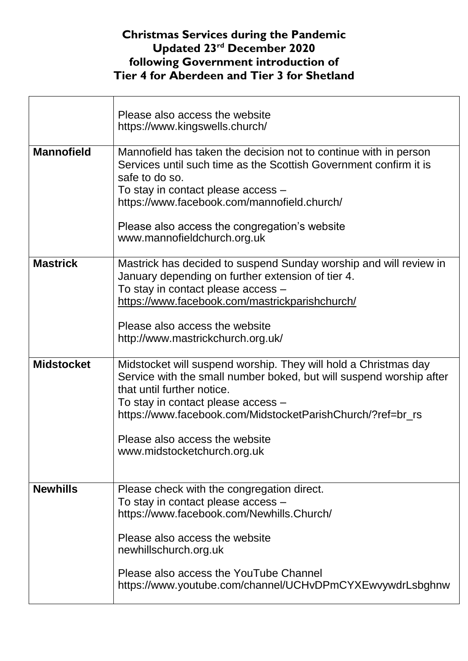|                   | Please also access the website<br>https://www.kingswells.church/                                                                                                                                                                                                                                                                          |
|-------------------|-------------------------------------------------------------------------------------------------------------------------------------------------------------------------------------------------------------------------------------------------------------------------------------------------------------------------------------------|
| <b>Mannofield</b> | Mannofield has taken the decision not to continue with in person<br>Services until such time as the Scottish Government confirm it is<br>safe to do so.<br>To stay in contact please access -<br>https://www.facebook.com/mannofield.church/<br>Please also access the congregation's website<br>www.mannofieldchurch.org.uk              |
| <b>Mastrick</b>   | Mastrick has decided to suspend Sunday worship and will review in<br>January depending on further extension of tier 4.<br>To stay in contact please access -<br>https://www.facebook.com/mastrickparishchurch/<br>Please also access the website<br>http://www.mastrickchurch.org.uk/                                                     |
| <b>Midstocket</b> | Midstocket will suspend worship. They will hold a Christmas day<br>Service with the small number boked, but will suspend worship after<br>that until further notice.<br>To stay in contact please access -<br>https://www.facebook.com/MidstocketParishChurch/?ref=br_rs<br>Please also access the website<br>www.midstocketchurch.org.uk |
| <b>Newhills</b>   | Please check with the congregation direct.<br>To stay in contact please access -<br>https://www.facebook.com/Newhills.Church/<br>Please also access the website<br>newhillschurch.org.uk<br>Please also access the YouTube Channel<br>https://www.youtube.com/channel/UCHvDPmCYXEwvywdrLsbghnw                                            |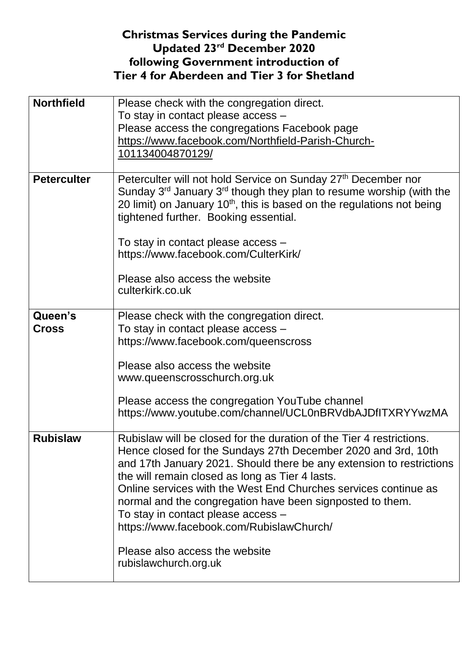| <b>Northfield</b>       | Please check with the congregation direct.<br>To stay in contact please access -<br>Please access the congregations Facebook page<br>https://www.facebook.com/Northfield-Parish-Church-<br>101134004870129/                                                                                                                                                                                                                                                                                                                                   |
|-------------------------|-----------------------------------------------------------------------------------------------------------------------------------------------------------------------------------------------------------------------------------------------------------------------------------------------------------------------------------------------------------------------------------------------------------------------------------------------------------------------------------------------------------------------------------------------|
| <b>Peterculter</b>      | Peterculter will not hold Service on Sunday 27 <sup>th</sup> December nor<br>Sunday $3^{rd}$ January $3^{rd}$ though they plan to resume worship (with the<br>20 limit) on January $10th$ , this is based on the regulations not being<br>tightened further. Booking essential.<br>To stay in contact please access -<br>https://www.facebook.com/CulterKirk/<br>Please also access the website<br>culterkirk.co.uk                                                                                                                           |
| Queen's<br><b>Cross</b> | Please check with the congregation direct.<br>To stay in contact please access -<br>https://www.facebook.com/queenscross<br>Please also access the website<br>www.queenscrosschurch.org.uk<br>Please access the congregation YouTube channel<br>https://www.youtube.com/channel/UCL0nBRVdbAJDfITXRYYwzMA                                                                                                                                                                                                                                      |
| <b>Rubislaw</b>         | Rubislaw will be closed for the duration of the Tier 4 restrictions.<br>Hence closed for the Sundays 27th December 2020 and 3rd, 10th<br>and 17th January 2021. Should there be any extension to restrictions<br>the will remain closed as long as Tier 4 lasts.<br>Online services with the West End Churches services continue as<br>normal and the congregation have been signposted to them.<br>To stay in contact please access -<br>https://www.facebook.com/RubislawChurch/<br>Please also access the website<br>rubislawchurch.org.uk |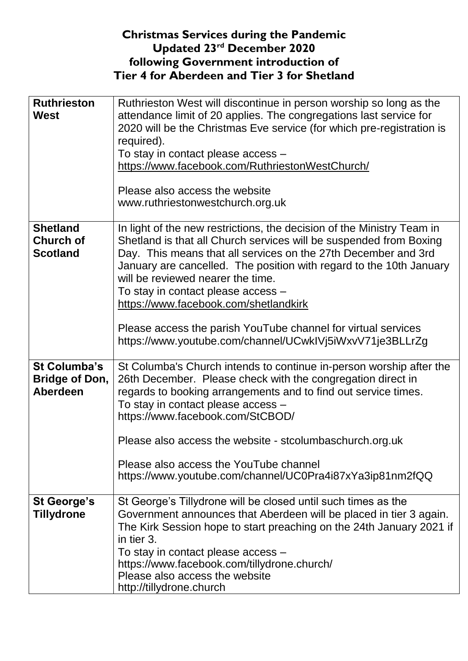| <b>Ruthrieston</b><br><b>West</b>                               | Ruthrieston West will discontinue in person worship so long as the<br>attendance limit of 20 applies. The congregations last service for<br>2020 will be the Christmas Eve service (for which pre-registration is<br>required).<br>To stay in contact please access -<br>https://www.facebook.com/RuthriestonWestChurch/<br>Please also access the website<br>www.ruthriestonwestchurch.org.uk                                                                                                                                         |
|-----------------------------------------------------------------|----------------------------------------------------------------------------------------------------------------------------------------------------------------------------------------------------------------------------------------------------------------------------------------------------------------------------------------------------------------------------------------------------------------------------------------------------------------------------------------------------------------------------------------|
| <b>Shetland</b><br><b>Church of</b><br><b>Scotland</b>          | In light of the new restrictions, the decision of the Ministry Team in<br>Shetland is that all Church services will be suspended from Boxing<br>Day. This means that all services on the 27th December and 3rd<br>January are cancelled. The position with regard to the 10th January<br>will be reviewed nearer the time.<br>To stay in contact please access -<br>https://www.facebook.com/shetlandkirk<br>Please access the parish YouTube channel for virtual services<br>https://www.youtube.com/channel/UCwkIVj5iWxvV71je3BLLrZg |
| <b>St Columba's</b><br><b>Bridge of Don,</b><br><b>Aberdeen</b> | St Columba's Church intends to continue in-person worship after the<br>26th December. Please check with the congregation direct in<br>regards to booking arrangements and to find out service times.<br>To stay in contact please access -<br>https://www.facebook.com/StCBOD/<br>Please also access the website - stcolumbaschurch.org.uk<br>Please also access the YouTube channel<br>https://www.youtube.com/channel/UC0Pra4i87xYa3ip81nm2fQQ                                                                                       |
| <b>St George's</b><br><b>Tillydrone</b>                         | St George's Tillydrone will be closed until such times as the<br>Government announces that Aberdeen will be placed in tier 3 again.<br>The Kirk Session hope to start preaching on the 24th January 2021 if<br>in tier 3.<br>To stay in contact please access -<br>https://www.facebook.com/tillydrone.church/<br>Please also access the website<br>http://tillydrone.church                                                                                                                                                           |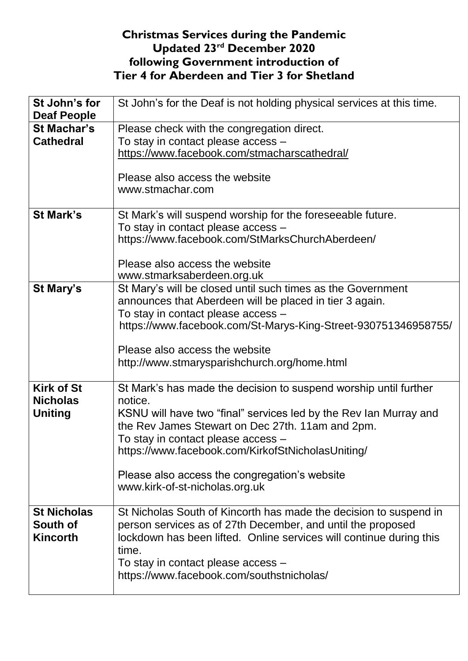| St John's for the Deaf is not holding physical services at this time. |
|-----------------------------------------------------------------------|
| Please check with the congregation direct.                            |
| To stay in contact please access -                                    |
| https://www.facebook.com/stmacharscathedral/                          |
|                                                                       |
| Please also access the website                                        |
| www.stmachar.com                                                      |
|                                                                       |
| St Mark's will suspend worship for the foreseeable future.            |
| To stay in contact please access -                                    |
| https://www.facebook.com/StMarksChurchAberdeen/                       |
|                                                                       |
| Please also access the website                                        |
| www.stmarksaberdeen.org.uk                                            |
| St Mary's will be closed until such times as the Government           |
| announces that Aberdeen will be placed in tier 3 again.               |
| To stay in contact please access -                                    |
| https://www.facebook.com/St-Marys-King-Street-930751346958755/        |
|                                                                       |
| Please also access the website                                        |
| http://www.stmarysparishchurch.org/home.html                          |
|                                                                       |
| St Mark's has made the decision to suspend worship until further      |
| notice.                                                               |
| KSNU will have two "final" services led by the Rev Ian Murray and     |
| the Rev James Stewart on Dec 27th. 11am and 2pm.                      |
| To stay in contact please access -                                    |
| https://www.facebook.com/KirkofStNicholasUniting/                     |
|                                                                       |
| Please also access the congregation's website                         |
| www.kirk-of-st-nicholas.org.uk                                        |
|                                                                       |
| St Nicholas South of Kincorth has made the decision to suspend in     |
| person services as of 27th December, and until the proposed           |
| lockdown has been lifted. Online services will continue during this   |
| time.                                                                 |
| To stay in contact please access -                                    |
|                                                                       |
| https://www.facebook.com/southstnicholas/                             |
|                                                                       |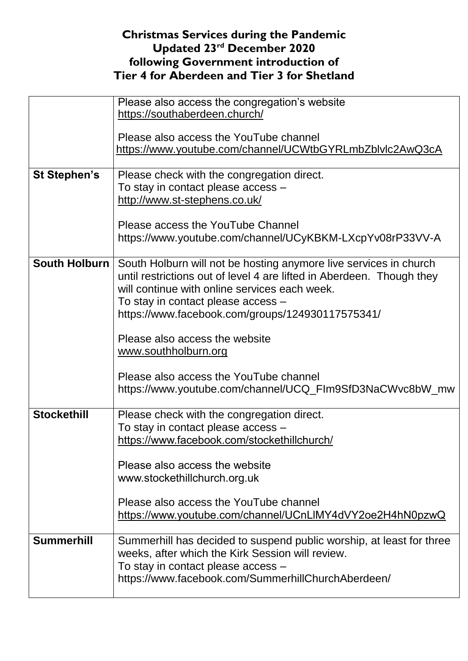|                     | Please also access the congregation's website                                          |
|---------------------|----------------------------------------------------------------------------------------|
|                     | https://southaberdeen.church/                                                          |
|                     | Please also access the YouTube channel                                                 |
|                     | https://www.youtube.com/channel/UCWtbGYRLmbZblvlc2AwQ3cA                               |
|                     |                                                                                        |
| <b>St Stephen's</b> | Please check with the congregation direct.                                             |
|                     | To stay in contact please access -                                                     |
|                     | http://www.st-stephens.co.uk/                                                          |
|                     | Please access the YouTube Channel                                                      |
|                     | https://www.youtube.com/channel/UCyKBKM-LXcpYv08rP33VV-A                               |
|                     |                                                                                        |
| South Holburn       | South Holburn will not be hosting anymore live services in church                      |
|                     | until restrictions out of level 4 are lifted in Aberdeen. Though they                  |
|                     | will continue with online services each week.                                          |
|                     | To stay in contact please access -<br>https://www.facebook.com/groups/124930117575341/ |
|                     |                                                                                        |
|                     | Please also access the website                                                         |
|                     | www.southholburn.org                                                                   |
|                     |                                                                                        |
|                     | Please also access the YouTube channel                                                 |
|                     | https://www.youtube.com/channel/UCQ_FIm9SfD3NaCWvc8bW_mw                               |
| <b>Stockethill</b>  | Please check with the congregation direct.                                             |
|                     | To stay in contact please access -                                                     |
|                     | https://www.facebook.com/stockethillchurch/                                            |
|                     |                                                                                        |
|                     | Please also access the website                                                         |
|                     | www.stockethillchurch.org.uk                                                           |
|                     | Please also access the YouTube channel                                                 |
|                     | https://www.youtube.com/channel/UCnLIMY4dVY2oe2H4hN0pzwQ                               |
|                     |                                                                                        |
| <b>Summerhill</b>   | Summerhill has decided to suspend public worship, at least for three                   |
|                     | weeks, after which the Kirk Session will review.                                       |
|                     | To stay in contact please access -                                                     |
|                     | https://www.facebook.com/SummerhillChurchAberdeen/                                     |
|                     |                                                                                        |